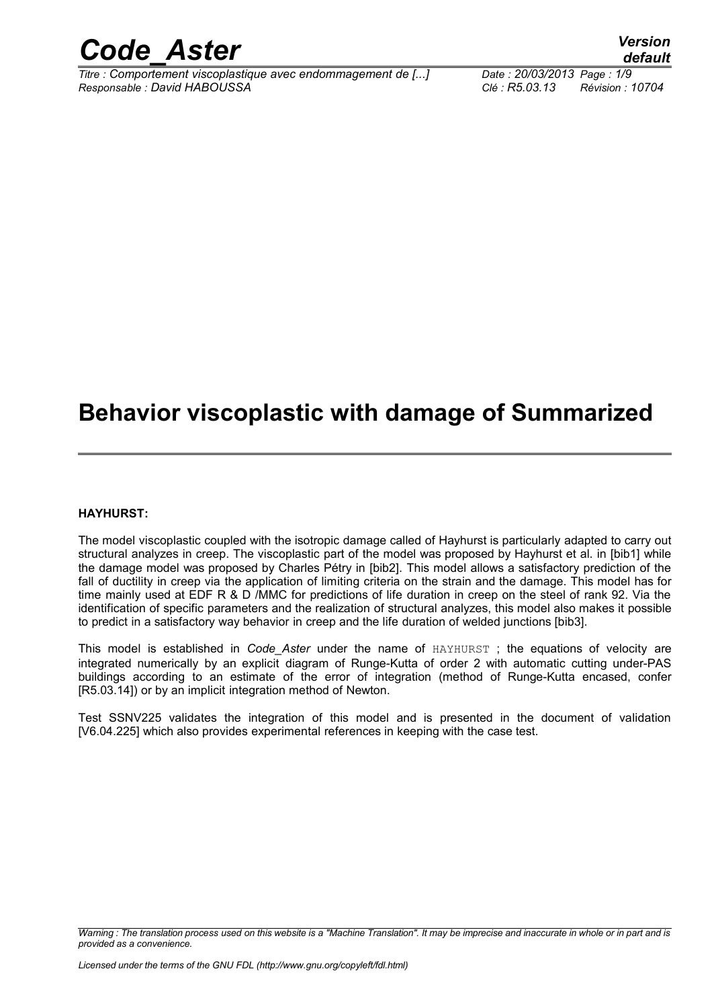

*Titre : Comportement viscoplastique avec endommagement de [...] Date : 20/03/2013 Page : 1/9 Responsable : David HABOUSSA Clé : R5.03.13 Révision : 10704*

*default*

### **Behavior viscoplastic with damage of Summarized**

#### **HAYHURST:**

The model viscoplastic coupled with the isotropic damage called of Hayhurst is particularly adapted to carry out structural analyzes in creep. The viscoplastic part of the model was proposed by Hayhurst et al. in [bib1] while the damage model was proposed by Charles Pétry in [bib2]. This model allows a satisfactory prediction of the fall of ductility in creep via the application of limiting criteria on the strain and the damage. This model has for time mainly used at EDF R & D /MMC for predictions of life duration in creep on the steel of rank 92. Via the identification of specific parameters and the realization of structural analyzes, this model also makes it possible to predict in a satisfactory way behavior in creep and the life duration of welded junctions [bib3].

This model is established in *Code\_Aster* under the name of HAYHURST ; the equations of velocity are integrated numerically by an explicit diagram of Runge-Kutta of order 2 with automatic cutting under-PAS buildings according to an estimate of the error of integration (method of Runge-Kutta encased, confer [R5.03.14]) or by an implicit integration method of Newton.

Test SSNV225 validates the integration of this model and is presented in the document of validation [V6.04.225] which also provides experimental references in keeping with the case test.

*Warning : The translation process used on this website is a "Machine Translation". It may be imprecise and inaccurate in whole or in part and is provided as a convenience.*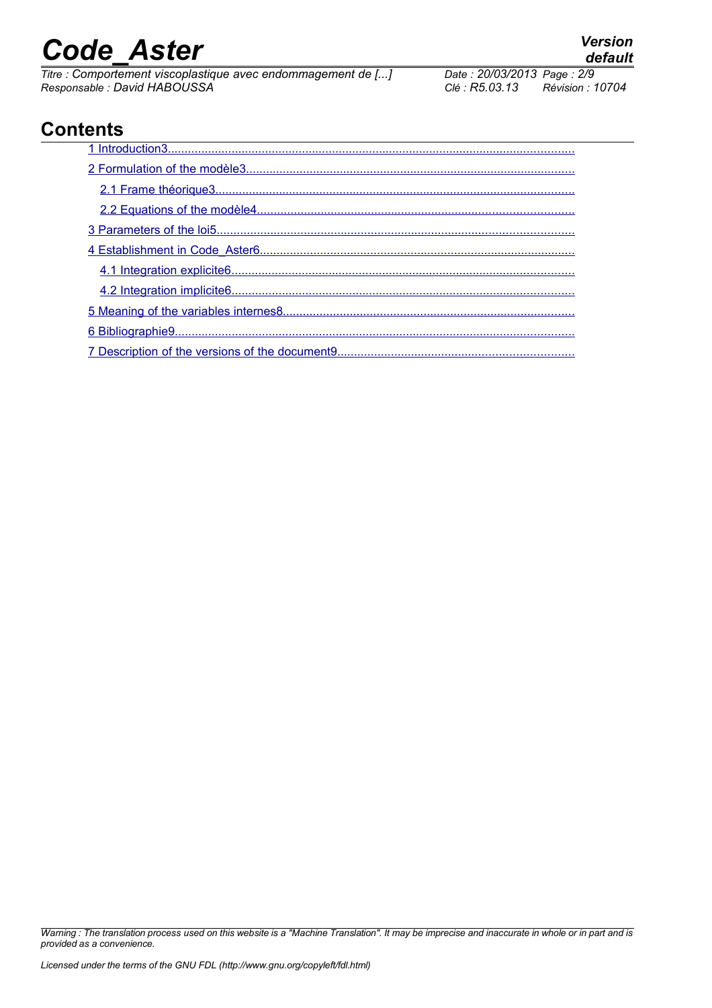*Titre : Comportement viscoplastique avec endommagement de [...] Date : 20/03/2013 Date : 20/03/2013 Page : Page : 20/03/2014 <i>Page : Page : Page : Page : Page : Page : Page : Page : Page : Page : Page : Page : Pag Responsable : David HABOUSSA Clé : R5.03.13 Révision : 10704*

*default*

### **Contents**

*Warning : The translation process used on this website is a "Machine Translation". It may be imprecise and inaccurate in whole or in part and is provided as a convenience.*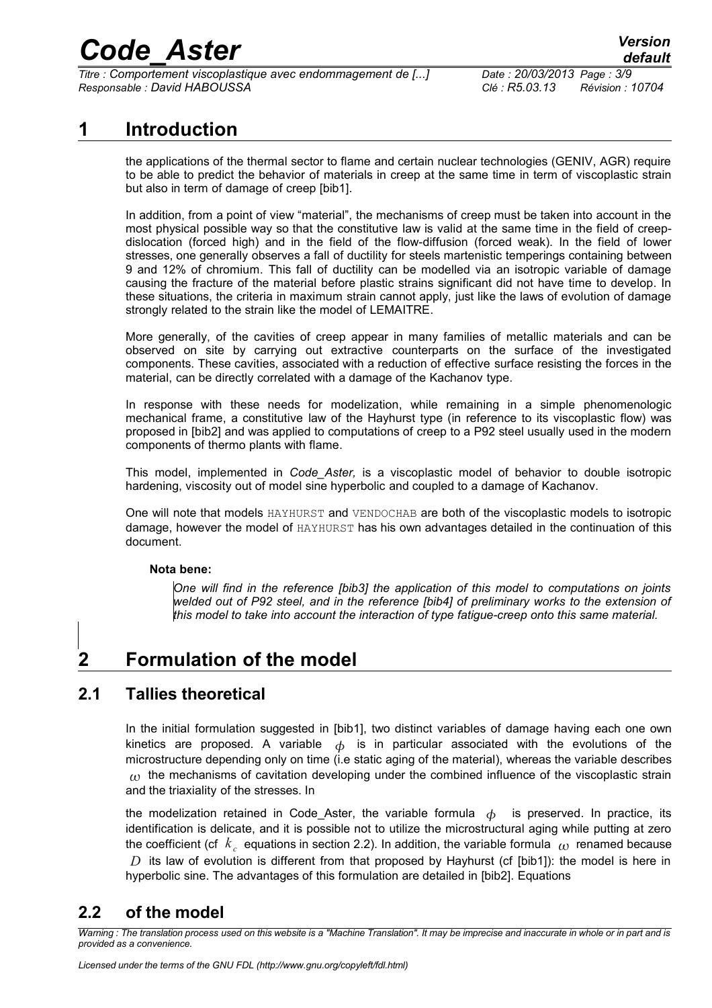*Titre : Comportement viscoplastique avec endommagement de [...] Date : 20/03/2013 Page : 3/9 Responsable : David HABOUSSA Clé : R5.03.13 Révision : 10704*

#### **1 Introduction**

<span id="page-2-0"></span>the applications of the thermal sector to flame and certain nuclear technologies (GENIV, AGR) require to be able to predict the behavior of materials in creep at the same time in term of viscoplastic strain but also in term of damage of creep [bib1].

In addition, from a point of view "material", the mechanisms of creep must be taken into account in the most physical possible way so that the constitutive law is valid at the same time in the field of creepdislocation (forced high) and in the field of the flow-diffusion (forced weak). In the field of lower stresses, one generally observes a fall of ductility for steels martenistic temperings containing between 9 and 12% of chromium. This fall of ductility can be modelled via an isotropic variable of damage causing the fracture of the material before plastic strains significant did not have time to develop. In these situations, the criteria in maximum strain cannot apply, just like the laws of evolution of damage strongly related to the strain like the model of LEMAITRE.

More generally, of the cavities of creep appear in many families of metallic materials and can be observed on site by carrying out extractive counterparts on the surface of the investigated components. These cavities, associated with a reduction of effective surface resisting the forces in the material, can be directly correlated with a damage of the Kachanov type.

In response with these needs for modelization, while remaining in a simple phenomenologic mechanical frame, a constitutive law of the Hayhurst type (in reference to its viscoplastic flow) was proposed in [bib2] and was applied to computations of creep to a P92 steel usually used in the modern components of thermo plants with flame.

This model, implemented in *Code\_Aster,* is a viscoplastic model of behavior to double isotropic hardening, viscosity out of model sine hyperbolic and coupled to a damage of Kachanov.

One will note that models HAYHURST and VENDOCHAB are both of the viscoplastic models to isotropic damage, however the model of HAYHURST has his own advantages detailed in the continuation of this document.

#### **Nota bene:**

*One will find in the reference [bib3] the application of this model to computations on joints welded out of P92 steel, and in the reference [bib4] of preliminary works to the extension of this model to take into account the interaction of type fatigue-creep onto this same material.*

### <span id="page-2-3"></span>**2 Formulation of the model**

#### **2.1 Tallies theoretical**

<span id="page-2-2"></span>In the initial formulation suggested in [bib1], two distinct variables of damage having each one own kinetics are proposed. A variable  $\phi$  is in particular associated with the evolutions of the microstructure depending only on time (i.e static aging of the material), whereas the variable describes  $\omega$  the mechanisms of cavitation developing under the combined influence of the viscoplastic strain and the triaxiality of the stresses. In

the modelization retained in Code Aster, the variable formula  $\phi$  is preserved. In practice, its identification is delicate, and it is possible not to utilize the microstructural aging while putting at zero the coefficient (cf  $|k_{\stackrel{.}{c}}|$  equations in section 2.2). In addition, the variable formula  $|_{\text{W}}$  renamed because *D* its law of evolution is different from that proposed by Hayhurst (cf [bib1]): the model is here in hyperbolic sine. The advantages of this formulation are detailed in [bib2]. Equations

#### <span id="page-2-1"></span>**2.2 of the model**

*Warning : The translation process used on this website is a "Machine Translation". It may be imprecise and inaccurate in whole or in part and is provided as a convenience.*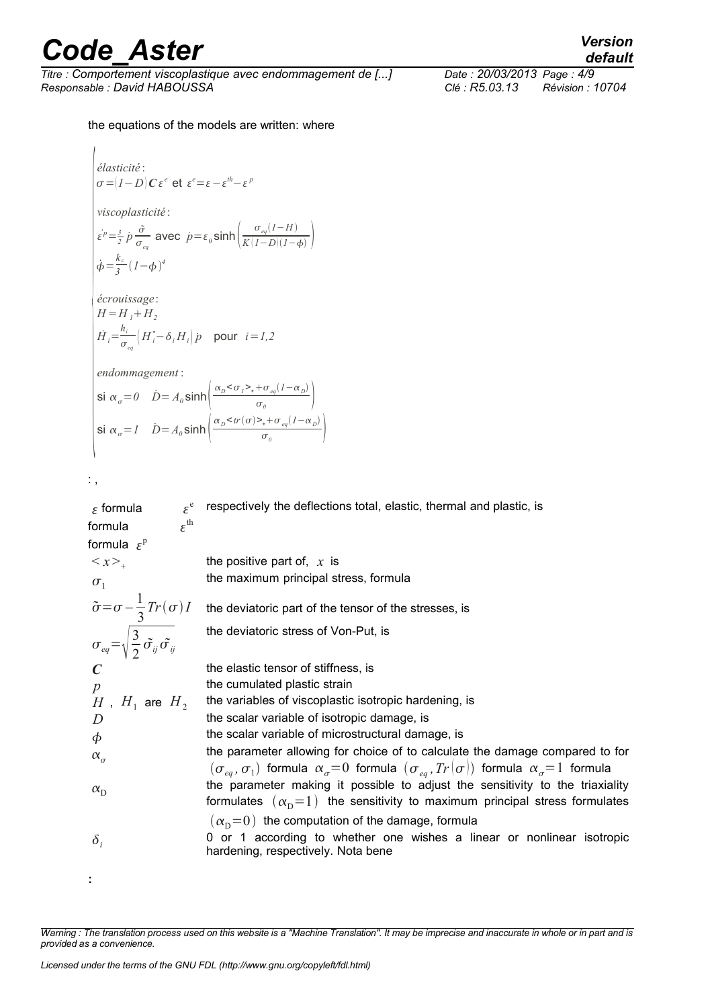*Titre : Comportement viscoplastique avec endommagement de [...] Date : 20/03/2013 Page : 4/9 Responsable : David HABOUSSA Clé : R5.03.13 Révision : 10704*

the equations of the models are written: where

$$
\begin{cases}\n\text{élasticité:} \\
\sigma = |I - D| C \varepsilon^e \text{ et } \varepsilon^e = \varepsilon - \varepsilon^{th} - \varepsilon^p \\
\text{viscoplasticité:} \\
\text{Év} = \frac{3}{2} \dot{p} \frac{\tilde{\sigma}}{\sigma_{eq}} \text{ avec } \dot{p} = \varepsilon_0 \sinh\left(\frac{\sigma_{eq}(I - H)}{K(I - D)(I - \phi)}\right) \\
\dot{\phi} = \frac{k_c}{3} (I - \phi)^4 \\
\text{écrouissage:} \\
H = H_I + H_2 \\
\dot{H}_i = \frac{h_i}{\sigma_{eq}} \left(H_i - \delta_i H_i\right) \dot{p} \text{ pour } i = I, 2 \\
\text{endommagement:} \\
\text{Si } \alpha_{\sigma} = 0 \quad \dot{D} = A_0 \sinh\left(\frac{\alpha_D < \sigma_I > + \sigma_{eq}(I - \alpha_D)}{\sigma_0}\right) \\
\text{Si } \alpha_{\sigma} = I \quad \dot{D} = A_0 \sinh\left(\frac{\alpha_D < tr(\sigma) > + \sigma_{eq}(I - \alpha_D)}{\sigma_0}\right)\n\end{cases}
$$

: ,

 $\epsilon$  formula  $\varepsilon^e$ formula  $\varepsilon^{\text{th}}$ formula  $\varepsilon^{\mathrm{p}}$ respectively the deflections total, elastic, thermal and plastic, is  $\langle x \rangle$ . the positive part of, *x* is  $\sigma_1$ the maximum principal stress, formula  $\tilde{\sigma} = \sigma - \frac{1}{2}$ 3 the deviatoric part of the tensor of the stresses, is  $\sigma_{eq} = \sqrt{\frac{3}{2}}$  $\frac{\partial}{\partial z}\tilde{\sigma_{ij}}\tilde{\sigma_{ij}}$ the deviatoric stress of Von-Put, is *C* the elastic tensor of stiffness, is *p* the cumulated plastic strain  $H$ ,  $H_1$  are  $H_2$ the variables of viscoplastic isotropic hardening, is *D* the scalar variable of isotropic damage, is  $\phi$  the scalar variable of microstructural damage, is  $\alpha_{\sigma}$ the parameter allowing for choice of to calculate the damage compared to for  $(\sigma_{_{eq}}, \sigma_{_{1}})$  formula  $\alpha_{_{\sigma}} = 0$  formula  $(\sigma_{_{eq}}, \textit{Tr} \, | \sigma))$  formula  $\alpha_{_{\sigma}} = 1$  formula  $\alpha_{\rm D}$ the parameter making it possible to adjust the sensitivity to the triaxiality formulates  $(\alpha_{\rm p}=1)$  the sensitivity to maximum principal stress formulates  $(\alpha_{\rm p}=0)$  the computation of the damage, formula  $\delta$ , 0 or 1 according to whether one wishes a linear or nonlinear isotropic hardening, respectively. Nota bene **:** 

*Warning : The translation process used on this website is a "Machine Translation". It may be imprecise and inaccurate in whole or in part and is provided as a convenience.*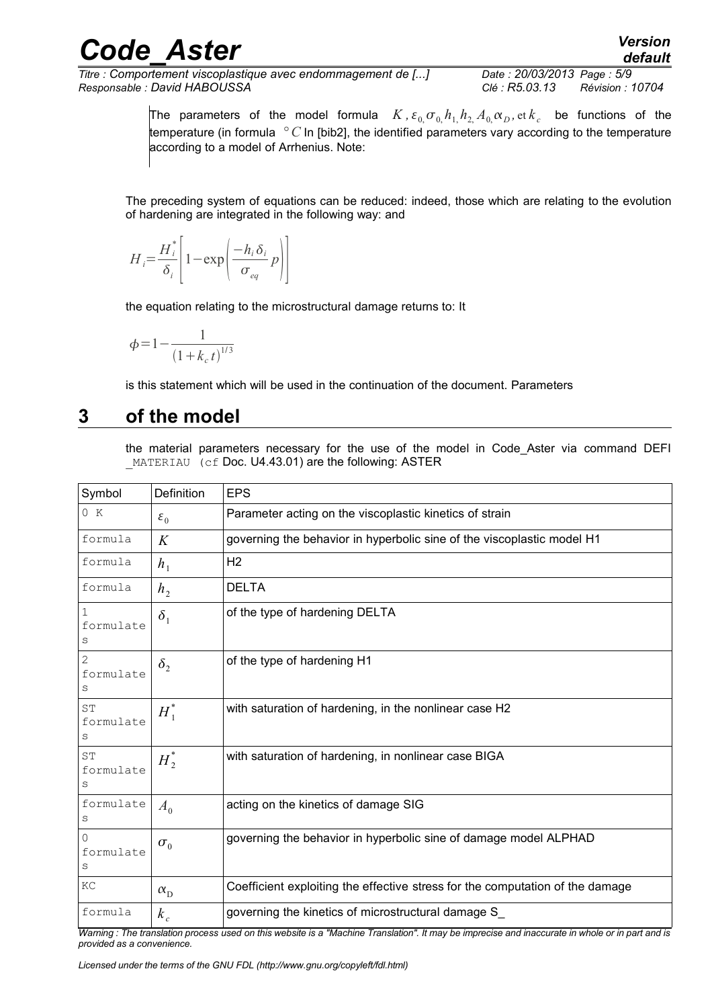*Titre : Comportement viscoplastique avec endommagement de [...] Date : 20/03/2013 Page : 5/9 Responsable : David HABOUSSA Clé : R5.03.13 Révision : 10704*

The parameters of the model formula  $K$ ,  $\varepsilon_{0}$ ,  $\sigma_{0}$ ,  $h_1$ ,  $h_2$ ,  $A_0$ ,  $\alpha_D$ , et  $k_c$  be functions of the temperature (in formula *° C* In [bib2], the identified parameters vary according to the temperature according to a model of Arrhenius. Note:

The preceding system of equations can be reduced: indeed, those which are relating to the evolution of hardening are integrated in the following way: and

$$
H_i = \frac{H_i^*}{\delta_i} \left[ 1 - \exp\left( \frac{-h_i \delta_i}{\sigma_{eq}} p \right) \right]
$$

the equation relating to the microstructural damage returns to: It

$$
\phi = 1 - \frac{1}{\left(1 + k_c t\right)^{1/3}}
$$

<span id="page-4-0"></span>is this statement which will be used in the continuation of the document. Parameters

#### **3 of the model**

the material parameters necessary for the use of the model in Code\_Aster via command DEFI MATERIAU (cf Doc. U4.43.01) are the following: ASTER

| Symbol               | Definition       | <b>EPS</b>                                                                    |  |
|----------------------|------------------|-------------------------------------------------------------------------------|--|
| 0 K                  | $\varepsilon_0$  | Parameter acting on the viscoplastic kinetics of strain                       |  |
| formula              | K                | governing the behavior in hyperbolic sine of the viscoplastic model H1        |  |
| formula              | h <sub>1</sub>   | H <sub>2</sub>                                                                |  |
| formula              | h <sub>2</sub>   | <b>DELTA</b>                                                                  |  |
| formulate<br>S       | $\delta_1$       | of the type of hardening DELTA                                                |  |
| 2<br>formulate<br>S  | $\delta_2$       | of the type of hardening H1                                                   |  |
| ST<br>formulate<br>S | $H_1^*$          | with saturation of hardening, in the nonlinear case H2                        |  |
| ST<br>formulate<br>S | $H^*$            | with saturation of hardening, in nonlinear case BIGA                          |  |
| formulate<br>S       | $A_0$            | acting on the kinetics of damage SIG                                          |  |
| 0<br>formulate<br>S  | $\sigma_{0}$     | governing the behavior in hyperbolic sine of damage model ALPHAD              |  |
| KC                   | $\alpha_{\rm D}$ | Coefficient exploiting the effective stress for the computation of the damage |  |
| formula              | $k_c$            | governing the kinetics of microstructural damage S_                           |  |

*Warning : The translation process used on this website is a "Machine Translation". It may be imprecise and inaccurate in whole or in part and is provided as a convenience.*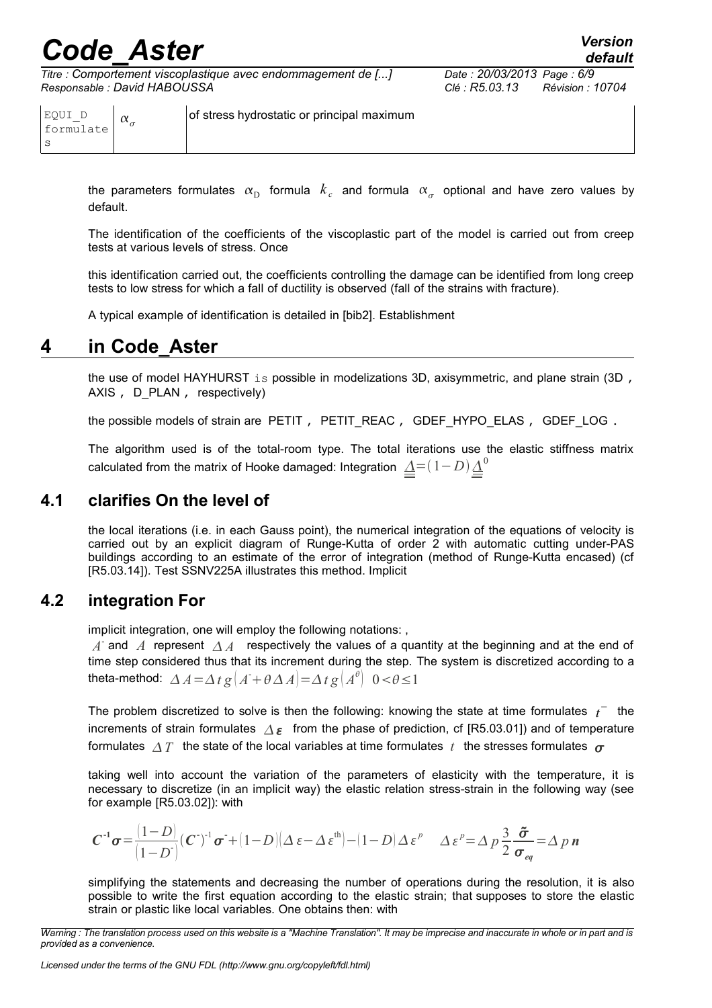*Titre : Comportement viscoplastique avec endommagement de [...] Date : 20/03/2013 Page : 6/9 Responsable : David HABOUSSA Clé : R5.03.13 Révision : 10704*

| version |
|---------|
| default |
|         |

EQUI\_D formulate s  $\alpha_{\alpha}$ of stress hydrostatic or principal maximum

the parameters formulates  $\alpha_{\rm D}^+$  formula  $\,k_c^-\,$  and formula  $\,\alpha_{\sigma}^-\,$  optional and have zero values by default.

The identification of the coefficients of the viscoplastic part of the model is carried out from creep tests at various levels of stress. Once

this identification carried out, the coefficients controlling the damage can be identified from long creep tests to low stress for which a fall of ductility is observed (fall of the strains with fracture).

<span id="page-5-2"></span>A typical example of identification is detailed in [bib2]. Establishment

#### **4 in Code\_Aster**

the use of model HAYHURST is possible in modelizations 3D, axisymmetric, and plane strain (3D, AXIS, D\_PLAN, respectively)

the possible models of strain are PETIT, PETIT REAC, GDEF HYPO ELAS, GDEF LOG.

The algorithm used is of the total-room type. The total iterations use the elastic stiffness matrix calculated from the matrix of Hooke damaged: Integration  $\varDelta{=}(1{-}D)\varDelta^0$ 

#### **4.1 clarifies On the level of**

<span id="page-5-1"></span>the local iterations (i.e. in each Gauss point), the numerical integration of the equations of velocity is carried out by an explicit diagram of Runge-Kutta of order 2 with automatic cutting under-PAS buildings according to an estimate of the error of integration (method of Runge-Kutta encased) (cf [R5.03.14]). Test SSNV225A illustrates this method. Implicit

#### **4.2 integration For**

<span id="page-5-0"></span>implicit integration, one will employ the following notations: ,

 $\overline{A}$  and  $\overline{A}$  represent  $\overline{\Delta A}$  respectively the values of a quantity at the beginning and at the end of time step considered thus that its increment during the step. The system is discretized according to a theta-method:  $\Delta A = \Delta t g (A + \theta \Delta A) = \Delta t g (A^{\theta}) \ \ 0 < \theta \le 1$ 

The problem discretized to solve is then the following: knowing the state at time formulates  $t^-$  the increments of strain formulates  $\Delta \varepsilon$  from the phase of prediction, cf [R5.03.01]) and of temperature formulates  $\Delta T$  the state of the local variables at time formulates t the stresses formulates  $\sigma$ 

taking well into account the variation of the parameters of elasticity with the temperature, it is necessary to discretize (in an implicit way) the elastic relation stress-strain in the following way (see for example [R5.03.02]): with

$$
C^{-1}\sigma = \frac{(1-D)}{(1-D)}(C)^{-1}\sigma + (1-D)(\Delta \varepsilon - \Delta \varepsilon^{th}) - (1-D)\Delta \varepsilon^{p} \quad \Delta \varepsilon^{p} = \Delta p \frac{3}{2} \frac{\tilde{\sigma}}{\sigma_{eq}} = \Delta p n
$$

simplifying the statements and decreasing the number of operations during the resolution, it is also possible to write the first equation according to the elastic strain; that supposes to store the elastic strain or plastic like local variables. One obtains then: with

*Warning : The translation process used on this website is a "Machine Translation". It may be imprecise and inaccurate in whole or in part and is provided as a convenience.*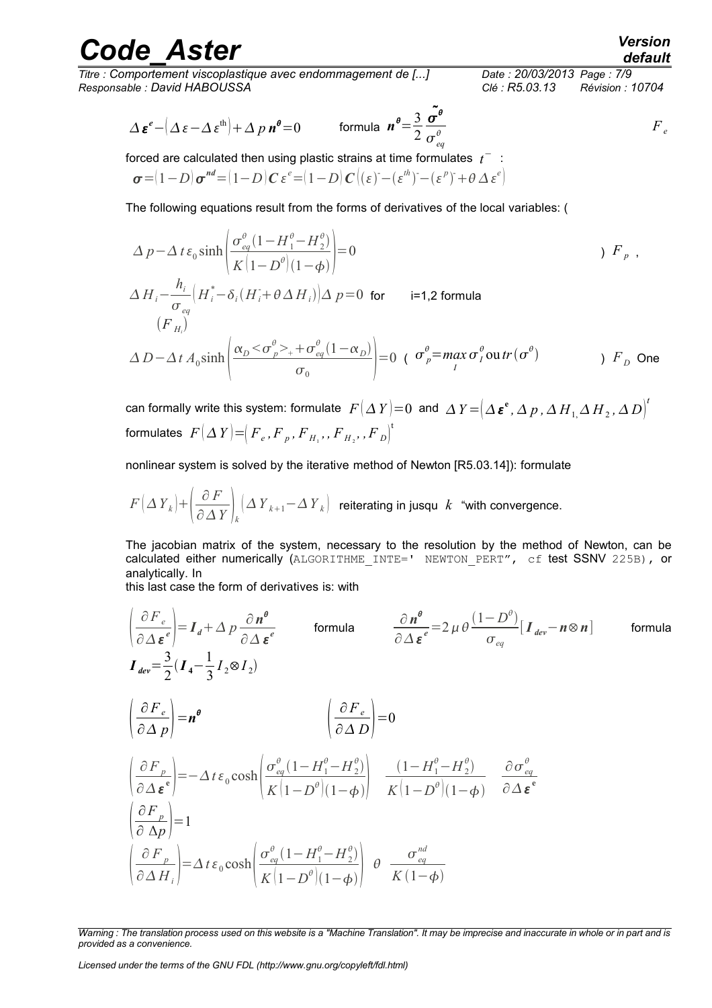*Titre : Comportement viscoplastique avec endommagement de [...] Date : 20/03/2013 Page : 7/9 Responsable : David HABOUSSA Clé : R5.03.13 Révision : 10704*

*default*

$$
\Delta \boldsymbol{\varepsilon}^{e} - \left(\Delta \boldsymbol{\varepsilon} - \Delta \boldsymbol{\varepsilon}^{\text{th}}\right) + \Delta p \, \boldsymbol{n}^{\theta} = 0 \qquad \text{formula } \boldsymbol{n}^{\theta} = \frac{3}{2} \frac{\tilde{\sigma}^{\theta}}{\sigma_{eq}^{\theta}} \qquad F_{e}
$$

forced are calculated then using plastic strains at time formulates  $|t^-\>$  :

$$
\boldsymbol{\sigma} = (1 - D) \boldsymbol{\sigma}^{nd} = (1 - D) \boldsymbol{C} \boldsymbol{\varepsilon}^{e} = (1 - D) \boldsymbol{C} ((\boldsymbol{\varepsilon})^{2} - (\boldsymbol{\varepsilon}^{th})^{2} - (\boldsymbol{\varepsilon}^{p})^{2} + \boldsymbol{\theta} \Delta \boldsymbol{\varepsilon}^{e})
$$

The following equations result from the forms of derivatives of the local variables: (

$$
\Delta p - \Delta t \varepsilon_0 \sinh \left( \frac{\sigma_{eq}^{\theta} (1 - H_1^{\theta} - H_2^{\theta})}{K (1 - D^{\theta}) (1 - \phi)} \right) = 0
$$
\n
$$
\Delta H_i - \frac{h_i}{\sigma_{eq}} \left( H_i^* - \delta_i (H_i^* + \theta \Delta H_i) \right) \Delta p = 0 \text{ for } i=1,2 \text{ formula}
$$
\n
$$
(F_{H_i})
$$
\n
$$
\Delta D - \Delta t A_0 \sinh \left( \frac{\alpha_D < \sigma_{p}^{\theta} > + \sigma_{eq}^{\theta} (1 - \alpha_D)}{\sigma_0} \right) = 0 \quad (\sigma_p^{\theta} = \max_i \sigma_i^{\theta} \text{ out } r(\sigma^{\theta}) \qquad f_D \text{ One}
$$

can formally write this system: formulate  $\;F\big(\Delta\,Y\big)\!=\!0\;$  and  $\;\Delta\,Y\!=\!\!\left(\Delta\,\boldsymbol{\varepsilon}^\mathsf{e},\Delta\,p$  ,  $\Delta\,H_{1}\!,\Delta\,H_{2}$  ,  $\Delta\,D\right)^t$  $f$  formulates  $\ F\left(\Delta\,Y\right) \! = \! \! \left( \overline{F}_e, \overline{F}_p, \overline{F}_{H_1},, \overline{F}_{H_2},, \overline{F}_D \right)^{\dagger}$ 

nonlinear system is solved by the iterative method of Newton [R5.03.14]): formulate

$$
F\left(\Delta\,Y_{k}\right)+\left(\frac{\partial\,F}{\partial\,\Delta\,Y}\right)_{k}\!\left(\Delta\,Y_{k+1}\!-\!\Delta\,Y_{k}\right)\;\;\text{reiterating in jusqu}\;\;k\;\;\text{``with convergence.}
$$

The jacobian matrix of the system, necessary to the resolution by the method of Newton, can be calculated either numerically (ALGORITHME INTE=' NEWTON PERT", cf test SSNV 225B), or analytically. In

this last case the form of derivatives is: with

$$
\left(\frac{\partial F_e}{\partial \Delta \epsilon^e}\right) = I_d + \Delta p \frac{\partial n^{\theta}}{\partial \Delta \epsilon^e} \qquad \text{formula} \qquad \frac{\partial n^{\theta}}{\partial \Delta \epsilon^e} = 2 \mu \theta \frac{(1 - D^{\theta})}{\sigma_{eq}} [I_{dev} - n \otimes n] \qquad \text{formula}
$$
\n
$$
I_{dev} = \frac{3}{2} (I_4 - \frac{1}{3} I_2 \otimes I_2)
$$
\n
$$
\left(\frac{\partial F_e}{\partial \Delta p}\right) = n^{\theta} \qquad \left(\frac{\partial F_e}{\partial \Delta D}\right) = 0
$$
\n
$$
\left(\frac{\partial F_p}{\partial \Delta \epsilon^e}\right) = -\Delta t \epsilon_0 \cosh \left(\frac{\sigma_{eq}^{\theta} (1 - H_1^{\theta} - H_2^{\theta})}{K (1 - D^{\theta}) (1 - \phi)}\right) \frac{(1 - H_1^{\theta} - H_2^{\theta})}{K (1 - D^{\theta}) (1 - \phi)} \frac{\partial \sigma_{eq}^{\theta}}{\partial \Delta \epsilon^e}
$$
\n
$$
\left(\frac{\partial F_p}{\partial \Delta p}\right) = 1
$$
\n
$$
\left(\frac{\partial F_p}{\partial \Delta H_i}\right) = \Delta t \epsilon_0 \cosh \left(\frac{\sigma_{eq}^{\theta} (1 - H_1^{\theta} - H_2^{\theta})}{K (1 - D^{\theta}) (1 - \phi)}\right) \theta \frac{\sigma_{eq}^{nd}}{K (1 - \phi)}
$$

*Licensed under the terms of the GNU FDL (http://www.gnu.org/copyleft/fdl.html)*

*Warning : The translation process used on this website is a "Machine Translation". It may be imprecise and inaccurate in whole or in part and is provided as a convenience.*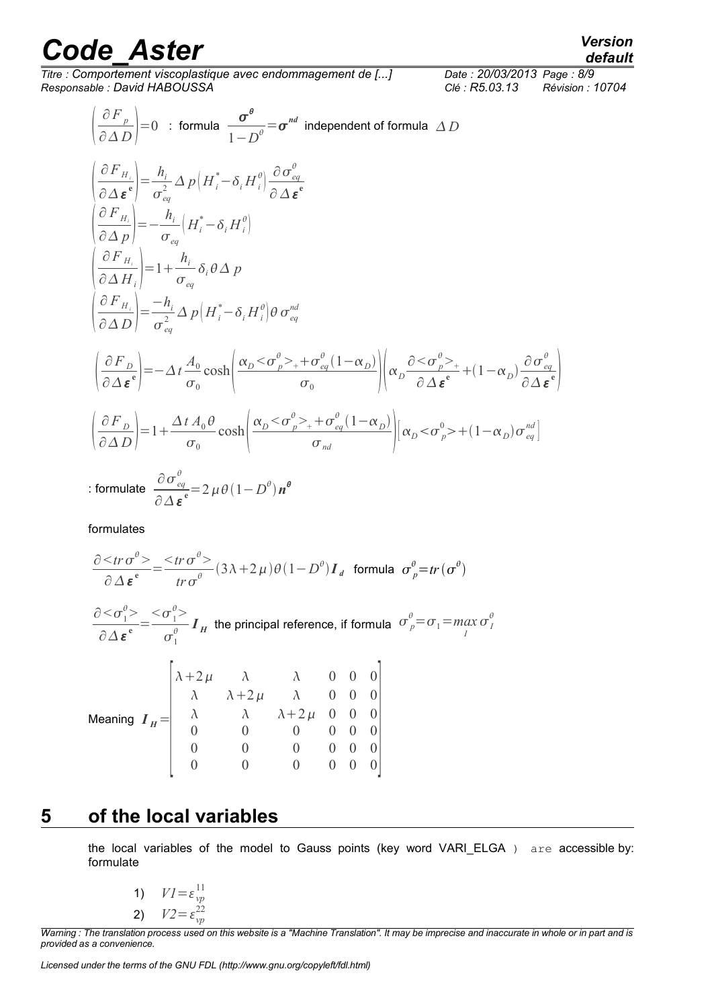*Titre : Comportement viscoplastique avec endommagement de [...] Date : 20/03/2013 Page : 8/9 Responsable : David HABOUSSA Clé : R5.03.13 Révision : 10704*

 $\sigma_I^{\theta}$ 

$$
\left(\frac{\partial F_{p}}{\partial \Delta D}\right) = 0 \quad : \text{ formula} \quad \frac{\sigma^{\theta}}{1 - D^{\theta}} = \sigma^{nd} \text{ independent of formula } \Delta D
$$
\n
$$
\left(\frac{\partial F_{H_{i}}}{\partial \Delta \varepsilon^{e}}\right) = \frac{h_{i}}{\sigma_{eq}^{2}} \Delta p \left(H_{i}^{*} - \delta_{i} H_{i}^{\theta}\right) \frac{\partial \sigma_{eq}^{\theta}}{\partial \Delta \varepsilon^{e}}
$$
\n
$$
\left(\frac{\partial F_{H_{i}}}{\partial \Delta p}\right) = -\frac{h_{i}}{\sigma_{eq}} \left(H_{i}^{*} - \delta_{i} H_{i}^{\theta}\right)
$$
\n
$$
\left(\frac{\partial F_{H_{i}}}{\partial \Delta H_{i}}\right) = 1 + \frac{h_{i}}{\sigma_{eq}} \delta_{i} \theta \Delta p
$$
\n
$$
\left(\frac{\partial F_{H_{i}}}{\partial \Delta D}\right) = \frac{-h_{i}}{\sigma_{eq}^{2}} \Delta p \left(H_{i}^{*} - \delta_{i} H_{i}^{\theta}\right) \theta \sigma_{eq}^{nd}
$$
\n
$$
\left(\frac{\partial F_{D}}{\partial \Delta \varepsilon^{e}}\right) = -\Delta t \frac{A_{0}}{\sigma_{0}} \cosh \left(\frac{\alpha_{D} < \sigma_{p}^{\theta} >_{+} + \sigma_{eq}^{\theta} (1 - \alpha_{D})}{\sigma_{0}}\right) \left(\alpha_{D} \frac{\partial < \sigma_{p}^{\theta} >_{+}}{\partial \Delta \varepsilon^{e}} + (1 - \alpha_{D}) \frac{\partial \sigma_{eq}^{\theta}}{\partial \Delta \varepsilon^{e}}
$$
\n
$$
\left(\frac{\partial F_{D}}{\partial \Delta D}\right) = 1 + \frac{\Delta t A_{0} \theta}{\sigma_{0}} \cosh \left(\frac{\alpha_{D} < \sigma_{p}^{\theta} >_{+} + \sigma_{eq}^{\theta} (1 - \alpha_{D})}{\sigma_{nd}}\right) \left[\alpha_{D} < \sigma_{p}^{\theta} >_{+} (1 - \alpha_{D}) \sigma_{eq}^{nd}\right]
$$
\n
$$
\therefore \text{formula} \quad \frac{\partial \sigma_{eq}^{\theta}}{\partial \Delta \varepsilon^{e}} = 2 \mu \theta (1 - D^{\theta}) n^{\theta}
$$

formulates

$$
\frac{\partial \leq tr \sigma^{\theta} >}{\partial \Delta \varepsilon^{\mathbf{e}}} = \frac{\leq tr \sigma^{\theta} >}{tr \sigma^{\theta}} (3\lambda + 2\mu) \theta (1 - D^{\theta}) \mathbf{I}_{d} \text{ formula } \sigma^{\theta}_{p} = tr(\sigma^{\theta})
$$
  

$$
\frac{\partial \leq \sigma^{\theta}_{1} >}{\partial \Delta \varepsilon^{\mathbf{e}}} = \frac{\leq \sigma^{\theta}_{1} >}{\sigma^{\theta}_{1}} \mathbf{I}_{H} \text{ the principal reference, if formula } \sigma^{\theta}_{p} = \sigma_{1} = \max_{l}
$$
  

$$
\begin{bmatrix} \lambda + 2\mu & \lambda & \lambda & 0 & 0 & 0 \\ \lambda & \lambda + 2\mu & \lambda & 0 & 0 & 0 \\ \lambda & \lambda & \lambda + 2\mu & 0 & 0 & 0 \\ 0 & 0 & 0 & 0 & 0 & 0 \\ 0 & 0 & 0 & 0 & 0 & 0 \\ 0 & 0 & 0 & 0 & 0 & 0 \end{bmatrix}
$$
Meaning  $\mathbf{I}_{H} = \begin{bmatrix} \lambda + 2\mu & \lambda & \lambda & 0 & 0 & 0 \\ \lambda & \lambda & \lambda + 2\mu & 0 & 0 & 0 \\ 0 & 0 & 0 & 0 & 0 & 0 \\ 0 & 0 & 0 & 0 & 0 & 0 \\ 0 & 0 & 0 & 0 & 0 & 0 \end{bmatrix}$ 

### **5 of the local variables**

<span id="page-7-0"></span>the local variables of the model to Gauss points (key word VARI\_ELGA ) are accessible by: formulate

1) 
$$
VI = \varepsilon_{vp}^{11}
$$
  
2) 
$$
V2 = \varepsilon_{vp}^{22}
$$

*Warning : The translation process used on this website is a "Machine Translation". It may be imprecise and inaccurate in whole or in part and is provided as a convenience.*